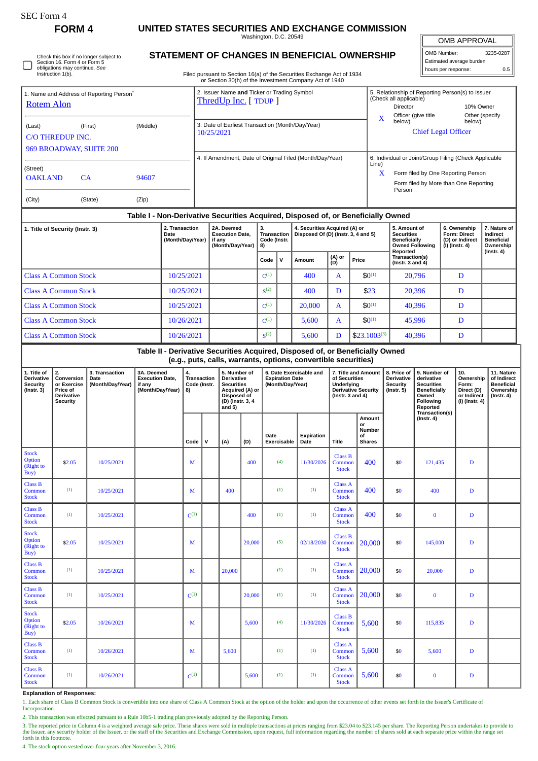| SEC Form |  |
|----------|--|
|----------|--|

П

**FORM 4 UNITED STATES SECURITIES AND EXCHANGE COMMISSION** Washington, D.C. 20549

OMB APPROVAL

 $\parallel$ 

| OMB Number:              | 3235-0287 |
|--------------------------|-----------|
| Estimated average burden |           |
| hours per response:      | 0.5       |

| Check this box if no longer subject to |  |
|----------------------------------------|--|
| Section 16. Form 4 or Form 5           |  |
| obligations may continue. See          |  |
| Instruction 1(b).                      |  |

## **STATEMENT OF CHANGES IN BENEFICIAL OWNERSHIP**

Filed pursuant to Section 16(a) of the Securities Exchange Act of 1934 or Section 30(h) of the Investment Company Act of 1940

|                                                           |                                                                              |                                                      |                                                                    |                          |            |                                                                                                                                                         |                                                                    |                                            |                  |                                                                      | or Section Softly or the investment Company Act or 1940                                                                                         |                                          |                                                                         |   |                                                                                                                                                    |                                                                   |                                                                          |                                                                                 |                |   |  |
|-----------------------------------------------------------|------------------------------------------------------------------------------|------------------------------------------------------|--------------------------------------------------------------------|--------------------------|------------|---------------------------------------------------------------------------------------------------------------------------------------------------------|--------------------------------------------------------------------|--------------------------------------------|------------------|----------------------------------------------------------------------|-------------------------------------------------------------------------------------------------------------------------------------------------|------------------------------------------|-------------------------------------------------------------------------|---|----------------------------------------------------------------------------------------------------------------------------------------------------|-------------------------------------------------------------------|--------------------------------------------------------------------------|---------------------------------------------------------------------------------|----------------|---|--|
| <b>Rotem Alon</b>                                         |                                                                              | 1. Name and Address of Reporting Person <sup>®</sup> |                                                                    |                          |            |                                                                                                                                                         | 2. Issuer Name and Ticker or Trading Symbol<br>ThredUp Inc. [TDUP] |                                            |                  |                                                                      |                                                                                                                                                 |                                          |                                                                         |   | 5. Relationship of Reporting Person(s) to Issuer<br>(Check all applicable)<br><b>Director</b>                                                      | Officer (give title                                               |                                                                          | 10% Owner                                                                       | Other (specify |   |  |
| (Last)                                                    | <b>C/O THREDUP INC.</b><br>969 BROADWAY, SUITE 200                           | (First)                                              | (Middle)                                                           |                          |            |                                                                                                                                                         | 10/25/2021                                                         |                                            |                  |                                                                      | 3. Date of Earliest Transaction (Month/Day/Year)                                                                                                |                                          |                                                                         | X | below)                                                                                                                                             |                                                                   |                                                                          |                                                                                 |                |   |  |
| (Street)<br><b>OAKLAND</b><br>CA<br>94607                 |                                                                              |                                                      |                                                                    |                          |            | 4. If Amendment, Date of Original Filed (Month/Day/Year)                                                                                                |                                                                    |                                            |                  |                                                                      |                                                                                                                                                 |                                          |                                                                         |   | 6. Individual or Joint/Group Filing (Check Applicable<br>Line)<br>X<br>Form filed by One Reporting Person<br>Form filed by More than One Reporting |                                                                   |                                                                          |                                                                                 |                |   |  |
| (City)                                                    |                                                                              | (State)                                              | (Zip)                                                              |                          |            |                                                                                                                                                         |                                                                    |                                            |                  |                                                                      |                                                                                                                                                 |                                          |                                                                         |   | Person                                                                                                                                             |                                                                   |                                                                          |                                                                                 |                |   |  |
|                                                           |                                                                              |                                                      |                                                                    |                          |            |                                                                                                                                                         |                                                                    |                                            |                  |                                                                      | Table I - Non-Derivative Securities Acquired, Disposed of, or Beneficially Owned                                                                |                                          |                                                                         |   |                                                                                                                                                    |                                                                   |                                                                          |                                                                                 |                |   |  |
| 1. Title of Security (Instr. 3)                           |                                                                              |                                                      | 2. Transaction<br>Date<br>(Month/Day/Year)                         |                          |            | 2A. Deemed<br><b>Execution Date,</b><br>if any<br>(Month/Day/Year)                                                                                      |                                                                    | 3.<br>Transaction<br>Code (Instr.<br>8)    |                  | 4. Securities Acquired (A) or<br>Disposed Of (D) (Instr. 3, 4 and 5) |                                                                                                                                                 |                                          | 5. Amount of<br><b>Securities</b><br><b>Beneficially</b>                |   | <b>Owned Following</b>                                                                                                                             | 6. Ownership<br>Form: Direct<br>(D) or Indirect<br>(I) (Instr. 4) |                                                                          | 7. Nature of<br>Indirect<br><b>Beneficial</b><br>Ownership<br>$($ Instr. 4 $)$  |                |   |  |
|                                                           |                                                                              |                                                      |                                                                    |                          |            |                                                                                                                                                         |                                                                    |                                            | Code             | $\mathsf{v}$                                                         | Amount                                                                                                                                          | (A) or<br>(D)                            | Price                                                                   |   | Reported<br>Transaction(s)<br>(Instr. $3$ and $4$ )                                                                                                |                                                                   |                                                                          |                                                                                 |                |   |  |
|                                                           | <b>Class A Common Stock</b><br><b>Class A Common Stock</b>                   |                                                      |                                                                    | 10/25/2021<br>10/25/2021 |            |                                                                                                                                                         |                                                                    |                                            | $C^{(1)}$        |                                                                      | 400                                                                                                                                             | A                                        | $$0^{(1)}$$<br>\$23<br>$$0^{(1)}$$                                      |   | 20,796                                                                                                                                             |                                                                   | D                                                                        |                                                                                 |                |   |  |
|                                                           |                                                                              |                                                      |                                                                    |                          |            |                                                                                                                                                         |                                                                    |                                            | S <sup>(2)</sup> |                                                                      | 400                                                                                                                                             | D                                        |                                                                         |   |                                                                                                                                                    | 20,396                                                            |                                                                          | D                                                                               |                |   |  |
|                                                           |                                                                              | <b>Class A Common Stock</b>                          |                                                                    |                          | 10/25/2021 |                                                                                                                                                         |                                                                    |                                            | $C^{(1)}$        |                                                                      | 20,000                                                                                                                                          | A                                        |                                                                         |   | 40,396                                                                                                                                             |                                                                   |                                                                          | D                                                                               |                |   |  |
|                                                           | <b>Class A Common Stock</b>                                                  |                                                      |                                                                    |                          | 10/26/2021 |                                                                                                                                                         |                                                                    |                                            | $C^{(1)}$        |                                                                      | 5,600                                                                                                                                           | A                                        | $$0^{(1)}$$                                                             |   |                                                                                                                                                    | 45,996                                                            |                                                                          | D                                                                               |                |   |  |
|                                                           | <b>Class A Common Stock</b>                                                  |                                                      |                                                                    |                          | 10/26/2021 |                                                                                                                                                         |                                                                    |                                            | S <sup>(2)</sup> |                                                                      | 5,600                                                                                                                                           | D                                        | $$23.1003^{(3)}$                                                        |   |                                                                                                                                                    | 40,396                                                            |                                                                          | D                                                                               |                |   |  |
|                                                           |                                                                              |                                                      |                                                                    |                          |            |                                                                                                                                                         |                                                                    |                                            |                  |                                                                      | Table II - Derivative Securities Acquired, Disposed of, or Beneficially Owned<br>(e.g., puts, calls, warrants, options, convertible securities) |                                          |                                                                         |   |                                                                                                                                                    |                                                                   |                                                                          |                                                                                 |                |   |  |
| 1. Title of<br>Derivative<br>Security<br>$($ Instr. 3 $)$ | 2.<br>Conversion<br>or Exercise<br>Price of<br>Derivative<br><b>Security</b> | 3. Transaction<br>Date<br>(Month/Day/Year)           | 3A. Deemed<br><b>Execution Date,</b><br>if any<br>(Month/Day/Year) |                          | 4.<br>8)   | 5. Number of<br><b>Transaction</b><br>Derivative<br><b>Securities</b><br>Code (Instr.<br>Acquired (A) or<br>Disposed of<br>(D) (Instr. 3, 4<br>and $5)$ |                                                                    | <b>Expiration Date</b><br>(Month/Day/Year) |                  | 6. Date Exercisable and                                              | 7. Title and Amount<br>of Securities<br>Underlying<br><b>Derivative Security</b><br>(Instr. $3$ and $4$ )                                       |                                          | 8. Price of<br><b>Derivative</b><br><b>Security</b><br>$($ Instr. 5 $)$ |   | 9. Number of<br>derivative<br><b>Securities</b><br><b>Beneficially</b><br>Owned<br>Following<br>Reported                                           |                                                                   | 10.<br>Ownership<br>Form:<br>Direct (D)<br>or Indirect<br>(I) (Instr. 4) | 11. Nature<br>of Indirect<br><b>Beneficial</b><br>Ownership<br>$($ lnstr. 4 $)$ |                |   |  |
|                                                           |                                                                              |                                                      |                                                                    |                          | Code       | v                                                                                                                                                       | (A)                                                                | (D)                                        | Date             | Exercisable                                                          | <b>Expiration</b><br>Date                                                                                                                       | <b>Title</b>                             | Amount<br>or<br>Number<br>οf<br><b>Shares</b>                           |   | Transaction(s)<br>$($ Instr. 4 $)$                                                                                                                 |                                                                   |                                                                          |                                                                                 |                |   |  |
| <b>Stock</b><br>Option<br>(Right to<br>Buy)               | \$2.05                                                                       | 10/25/2021                                           |                                                                    |                          | M          |                                                                                                                                                         |                                                                    | 400                                        |                  | (4)                                                                  | 11/30/2026                                                                                                                                      | Class B<br>Common<br><b>Stock</b>        | 400                                                                     |   | \$0                                                                                                                                                | 121,435                                                           |                                                                          | $\mathbf D$                                                                     |                |   |  |
| <b>Class B</b><br>Common<br><b>Stock</b>                  | (1)                                                                          | 10/25/2021                                           |                                                                    |                          | M          |                                                                                                                                                         | 400                                                                |                                            |                  | (1)                                                                  | (1)                                                                                                                                             | Class A<br>Common<br><b>Stock</b>        | 400                                                                     |   | \$0                                                                                                                                                | 400                                                               |                                                                          |                                                                                 |                | D |  |
| <b>Class B</b><br>Common<br><b>Stock</b>                  | (1)                                                                          | 10/25/2021                                           |                                                                    |                          | $C^{(1)}$  |                                                                                                                                                         |                                                                    | 400                                        |                  | (1)                                                                  | (1)                                                                                                                                             | <b>Class A</b><br>Common<br><b>Stock</b> | 400                                                                     |   | \$0                                                                                                                                                | $\bf{0}$                                                          |                                                                          | $\mathbf D$                                                                     |                |   |  |
| <b>Stock</b><br><b>Option</b><br>(Right to<br>Buy)        | \$2.05                                                                       | 10/25/2021                                           |                                                                    |                          | M          |                                                                                                                                                         |                                                                    | 20,000                                     |                  | (5)                                                                  | 02/18/2030                                                                                                                                      | <b>Class B</b><br>Common<br><b>Stock</b> | 20,000                                                                  |   | \$0                                                                                                                                                | 145,000                                                           |                                                                          | D                                                                               |                |   |  |
| <b>Class B</b><br>Common<br><b>Stock</b>                  | (1)                                                                          | 10/25/2021                                           |                                                                    |                          | M          |                                                                                                                                                         | 20,000                                                             |                                            |                  | (1)                                                                  | (1)                                                                                                                                             | <b>Class A</b><br>Common<br><b>Stock</b> | 20,000                                                                  |   | \$0                                                                                                                                                | 20,000                                                            |                                                                          | $\mathbf D$                                                                     |                |   |  |
| Class B<br>Common<br><b>Stock</b>                         | (1)                                                                          | 10/25/2021                                           |                                                                    |                          | $C^{(1)}$  |                                                                                                                                                         |                                                                    | 20,000                                     |                  | (1)                                                                  | (1)                                                                                                                                             | Class A<br>Common<br><b>Stock</b>        | 20,000                                                                  |   | \$0                                                                                                                                                | $\bf{0}$                                                          |                                                                          | D                                                                               |                |   |  |
| <b>Stock</b><br><b>Option</b><br>(Right to<br>Buy)        | \$2.05                                                                       | 10/26/2021                                           |                                                                    |                          | M          |                                                                                                                                                         |                                                                    | 5,600                                      |                  | (4)                                                                  | 11/30/2026                                                                                                                                      | Class B<br>Common<br><b>Stock</b>        | 5,600                                                                   |   | \$0                                                                                                                                                | 115,835                                                           |                                                                          | D                                                                               |                |   |  |
| Class B<br>Common<br><b>Stock</b>                         | (1)                                                                          | 10/26/2021                                           |                                                                    |                          | M          |                                                                                                                                                         | 5,600                                                              |                                            |                  | (1)                                                                  | (1)                                                                                                                                             | Class A<br>Common<br><b>Stock</b>        | 5,600                                                                   |   | \$0                                                                                                                                                | 5,600                                                             |                                                                          | D                                                                               |                |   |  |
| <b>Class B</b><br>Common<br><b>Stock</b>                  | (1)                                                                          | 10/26/2021                                           |                                                                    |                          | $C^{(1)}$  |                                                                                                                                                         |                                                                    | 5,600                                      |                  | (1)                                                                  | (1)                                                                                                                                             | Class A<br>Common<br><b>Stock</b>        | 5,600                                                                   |   | \$0                                                                                                                                                | $\bf{0}$                                                          |                                                                          | D                                                                               |                |   |  |

**Explanation of Responses:**

1. Each share of Class B Common Stock is convertible into one share of Class A Common Stock at the option of the holder and upon the occurrence of other events set forth in the Issuer's Certificate of Incorporation.

2. This transaction was effected pursuant to a Rule 10b5-1 trading plan previously adopted by the Reporting Person.

3. The reported price in Column 4 is a weighted average sale price. These shares were sold in multiple transactions at prices ranging from \$23.04 to \$23.145 per share. The Reporting Person undertakes to provide to provide

4. The stock option vested over four years after November 3, 2016.